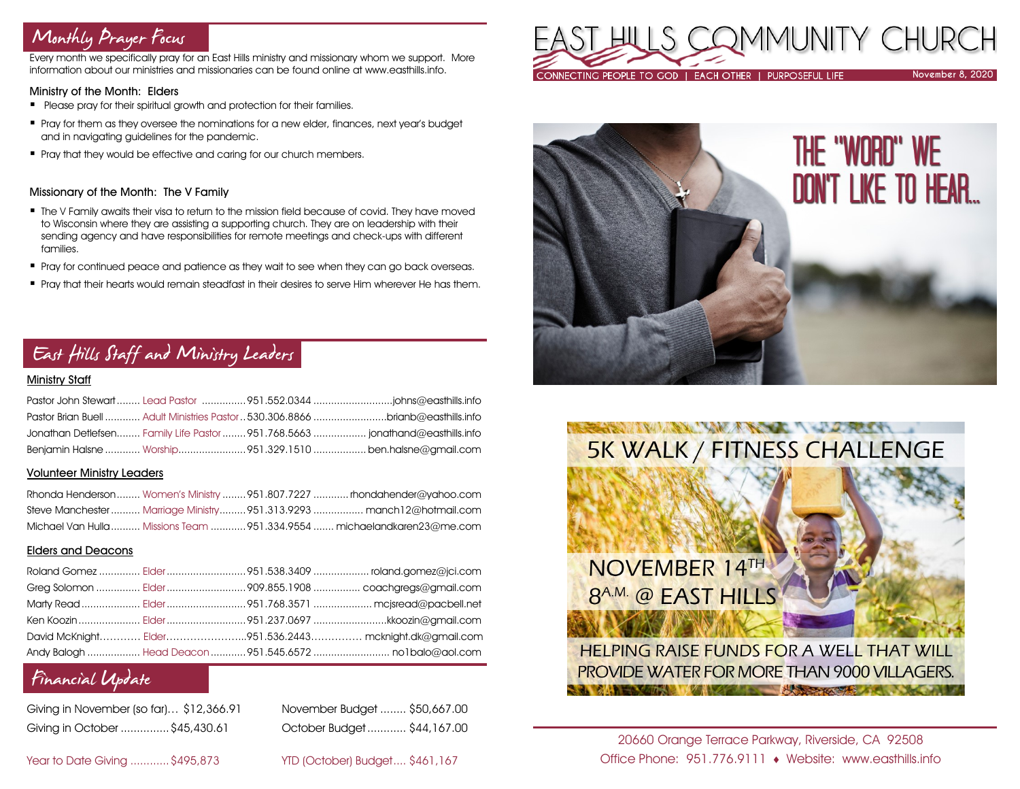## Monthly Prayer Focus

Every month we specifically pray for an East Hills ministry and missionary whom we support. More information about our ministries and missionaries can be found online at www.easthills.info.

### Ministry of the Month: Elders

- **•** Please pray for their spiritual growth and protection for their families.
- **Pray for them as they oversee the nominations for a new elder, finances, next year's budget** and in navigating guidelines for the pandemic.
- Pray that they would be effective and caring for our church members.

### Missionary of the Month: The V Family

- **. The V Family awaits their visa to return to the mission field because of covid. They have moved** to Wisconsin where they are assisting a supporting church. They are on leadership with their sending agency and have responsibilities for remote meetings and check-ups with different families.
- Pray for continued peace and patience as they wait to see when they can go back overseas.
- **Pray that their hearts would remain steadfast in their desires to serve Him wherever He has them.**

## East Hills Staff and Ministry Leaders

### Ministry Staff

| Pastor Brian Buell  Adult Ministries Pastor  530.306.8866 brianb@easthills.info |  |
|---------------------------------------------------------------------------------|--|
| Jonathan Detlefsen Family Life Pastor  951.768.5663  jonathand@easthills.info   |  |
| Benjamin Halsne  Worship951.329.1510  ben.halsne@gmail.com                      |  |

### Volunteer Ministry Leaders

|  | Rhonda Henderson Women's Ministry 951.807.7227  rhondahender@yahoo.com   |
|--|--------------------------------------------------------------------------|
|  | Steve Manchester  Marriage Ministry 951.313.9293  manch12@hotmail.com    |
|  | Michael Van Hulla  Missions Team  951.334.9554  michaelandkaren23@me.com |

### Elders and Deacons

|  | David McKnight Elder951.536.2443 mcknight.dk@gmail.com |
|--|--------------------------------------------------------|
|  |                                                        |

### Financial Update

| Giving in November (so far) \$12,366.91 |  |
|-----------------------------------------|--|
| Giving in October \$45,430.61           |  |

November Budget ........ \$50,667.00 Giving in October ...............\$45,430.61 October Budget............ \$44,167.00

Year to Date Giving ............\$495,873 YTD (October) Budget.... \$461,167







### 20660 Orange Terrace Parkway, Riverside, CA 92508 Office Phone: 951.776.9111 Website: www.easthills.info